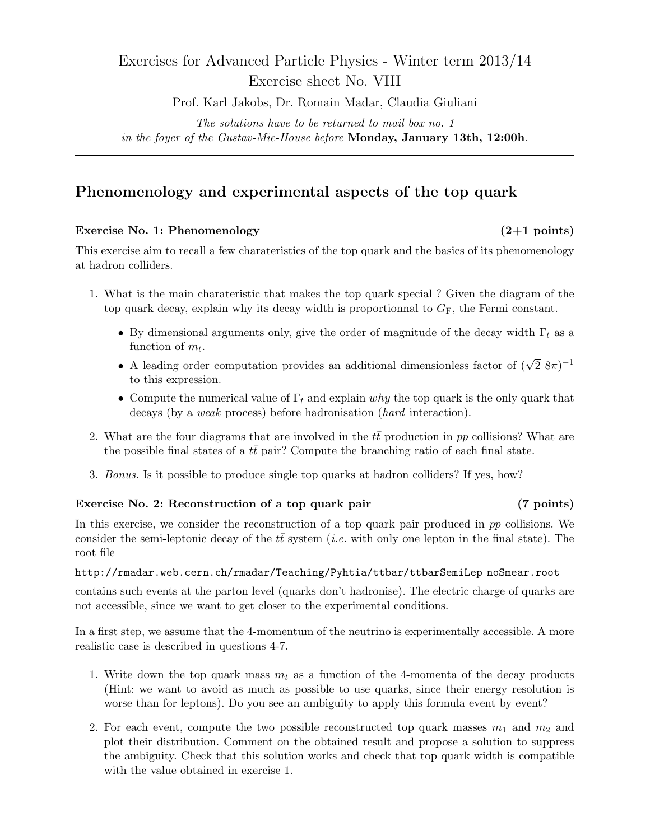# Exercises for Advanced Particle Physics - Winter term 2013/14 Exercise sheet No. VIII

Prof. Karl Jakobs, Dr. Romain Madar, Claudia Giuliani

The solutions have to be returned to mail box no. 1 in the foyer of the Gustav-Mie-House before Monday, January 13th, 12:00h.

## Phenomenology and experimental aspects of the top quark

### Exercise No. 1: Phenomenology (2+1 points)

This exercise aim to recall a few charateristics of the top quark and the basics of its phenomenology at hadron colliders.

- 1. What is the main charateristic that makes the top quark special ? Given the diagram of the top quark decay, explain why its decay width is proportionnal to  $G_F$ , the Fermi constant.
	- By dimensional arguments only, give the order of magnitude of the decay width  $\Gamma_t$  as a function of  $m_t$ .
	- A leading order computation provides an additional dimensionless factor of  $(\sqrt{2} \, 8\pi)^{-1}$ to this expression.
	- Compute the numerical value of  $\Gamma_t$  and explain why the top quark is the only quark that decays (by a *weak* process) before hadronisation (*hard* interaction).
- 2. What are the four diagrams that are involved in the  $t\bar{t}$  production in pp collisions? What are the possible final states of a  $t\bar{t}$  pair? Compute the branching ratio of each final state.
- 3. Bonus. Is it possible to produce single top quarks at hadron colliders? If yes, how?

### Exercise No. 2: Reconstruction of a top quark pair (7 points)

In this exercise, we consider the reconstruction of a top quark pair produced in  $pp$  collisions. We consider the semi-leptonic decay of the  $t\bar{t}$  system (*i.e.* with only one lepton in the final state). The root file

### http://rmadar.web.cern.ch/rmadar/Teaching/Pyhtia/ttbar/ttbarSemiLep noSmear.root

contains such events at the parton level (quarks don't hadronise). The electric charge of quarks are not accessible, since we want to get closer to the experimental conditions.

In a first step, we assume that the 4-momentum of the neutrino is experimentally accessible. A more realistic case is described in questions 4-7.

- 1. Write down the top quark mass  $m_t$  as a function of the 4-momenta of the decay products (Hint: we want to avoid as much as possible to use quarks, since their energy resolution is worse than for leptons). Do you see an ambiguity to apply this formula event by event?
- 2. For each event, compute the two possible reconstructed top quark masses  $m_1$  and  $m_2$  and plot their distribution. Comment on the obtained result and propose a solution to suppress the ambiguity. Check that this solution works and check that top quark width is compatible with the value obtained in exercise 1.